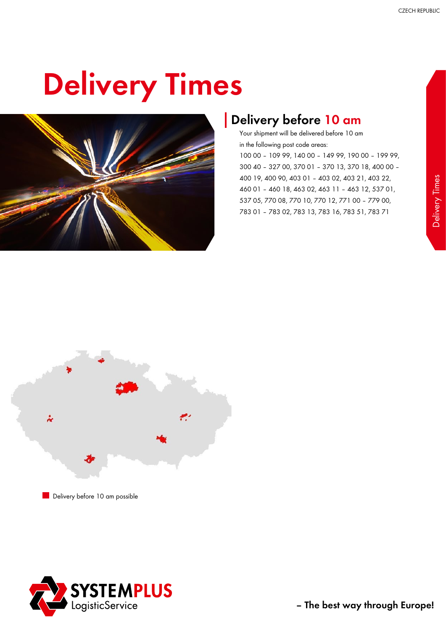## Delivery Times



#### Delivery before 10 am

Your shipment will be delivered before 10 am in the following post code areas:

100 00 – 109 99, 140 00 – 149 99, 190 00 – 199 99, 300 40 – 327 00, 370 01 – 370 13, 370 18, 400 00 – 400 19, 400 90, 403 01 – 403 02, 403 21, 403 22, 460 01 – 460 18, 463 02, 463 11 – 463 12, 537 01, 537 05, 770 08, 770 10, 770 12, 771 00 – 779 00, 783 01 – 783 02, 783 13, 783 16, 783 51, 783 71



Delivery before 10 am possible

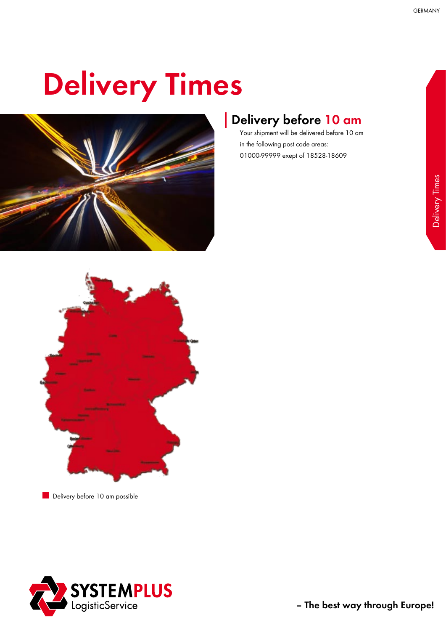# Delivery Times



### Delivery before 10 am

Your shipment will be delivered before 10 am in the following post code areas: 01000-99999 exept of 18528-18609



Delivery before 10 am possible

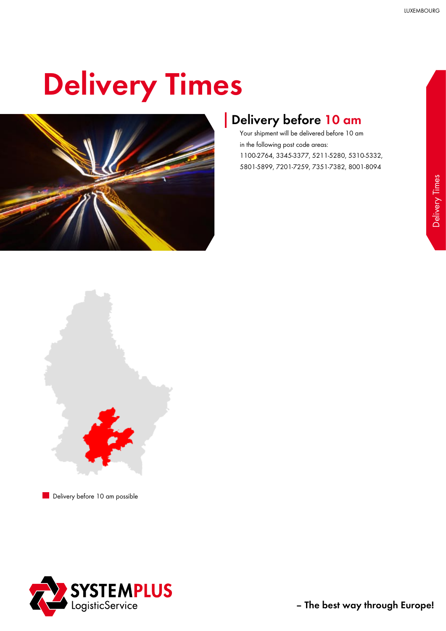## Delivery Times



#### Delivery before 10 am

Your shipment will be delivered before 10 am in the following post code areas: 1100-2764, 3345-3377, 5211-5280, 5310-5332, 5801-5899, 7201-7259, 7351-7382, 8001-8094



Delivery before 10 am possible